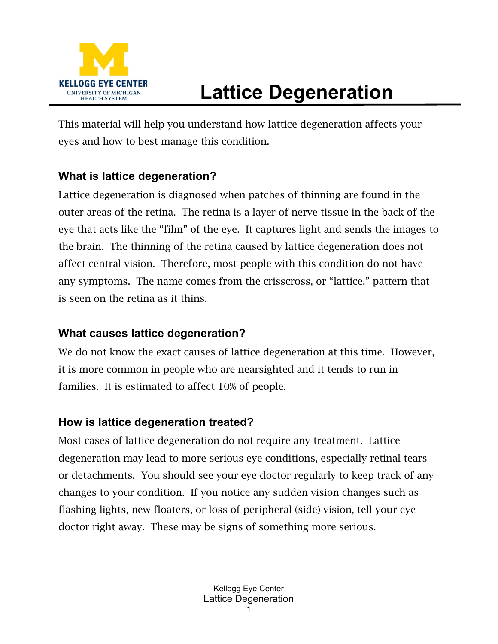

## **Lattice Degeneration**

This material will help you understand how lattice degeneration affects your eyes and how to best manage this condition.

## **What is lattice degeneration?**

Lattice degeneration is diagnosed when patches of thinning are found in the outer areas of the retina. The retina is a layer of nerve tissue in the back of the eye that acts like the "film" of the eye. It captures light and sends the images to the brain. The thinning of the retina caused by lattice degeneration does not affect central vision. Therefore, most people with this condition do not have any symptoms. The name comes from the crisscross, or "lattice," pattern that is seen on the retina as it thins.

## **What causes lattice degeneration?**

We do not know the exact causes of lattice degeneration at this time. However, it is more common in people who are nearsighted and it tends to run in families. It is estimated to affect 10% of people.

## **How is lattice degeneration treated?**

Most cases of lattice degeneration do not require any treatment. Lattice degeneration may lead to more serious eye conditions, especially retinal tears or detachments. You should see your eye doctor regularly to keep track of any changes to your condition. If you notice any sudden vision changes such as flashing lights, new floaters, or loss of peripheral (side) vision, tell your eye doctor right away. These may be signs of something more serious.